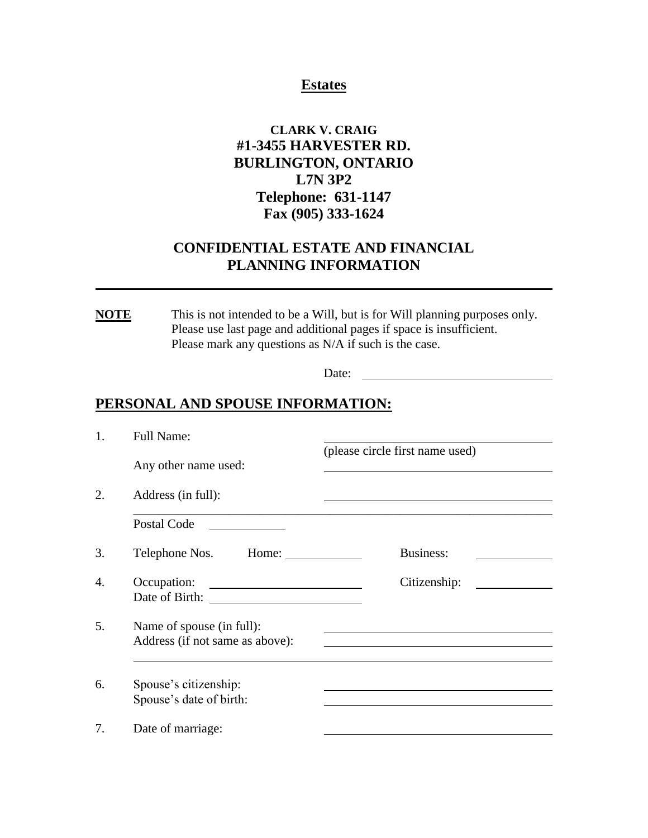#### **Estates**

### **CLARK V. CRAIG #1-3455 HARVESTER RD. BURLINGTON, ONTARIO L7N 3P2 Telephone: 631-1147 Fax (905) 333-1624**

### **CONFIDENTIAL ESTATE AND FINANCIAL PLANNING INFORMATION**

**NOTE** This is not intended to be a Will, but is for Will planning purposes only. Please use last page and additional pages if space is insufficient. Please mark any questions as N/A if such is the case.

Date:

#### **PERSONAL AND SPOUSE INFORMATION:**

| 1. | <b>Full Name:</b>                                            |                                 |
|----|--------------------------------------------------------------|---------------------------------|
|    | Any other name used:                                         | (please circle first name used) |
| 2. | Address (in full):                                           |                                 |
|    | Postal Code                                                  |                                 |
| 3. | Telephone Nos. Home:                                         | Business:                       |
| 4. | Occupation:                                                  | Citizenship:                    |
| 5. | Name of spouse (in full):<br>Address (if not same as above): |                                 |
| 6. | Spouse's citizenship:<br>Spouse's date of birth:             |                                 |
| 7. | Date of marriage:                                            |                                 |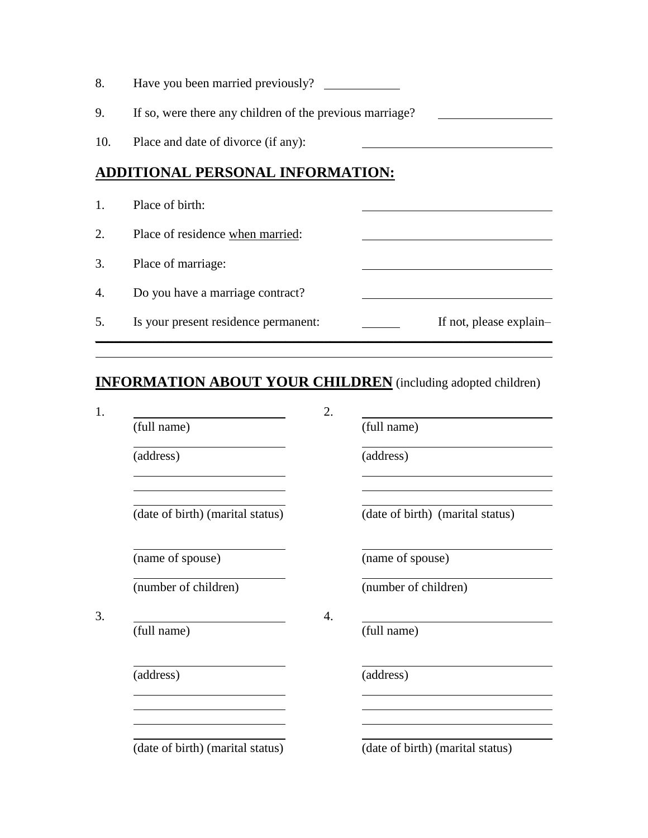| 8.  | Have you been married previously?                        |  |                         |
|-----|----------------------------------------------------------|--|-------------------------|
| 9.  | If so, were there any children of the previous marriage? |  |                         |
| 10. | Place and date of divorce (if any):                      |  |                         |
|     | <b>ADDITIONAL PERSONAL INFORMATION:</b>                  |  |                         |
| 1.  | Place of birth:                                          |  |                         |
| 2.  | Place of residence when married:                         |  |                         |
| 3.  | Place of marriage:                                       |  |                         |
| 4.  | Do you have a marriage contract?                         |  |                         |
| 5.  | Is your present residence permanent:                     |  | If not, please explain- |

# **INFORMATION ABOUT YOUR CHILDREN** (including adopted children)

|                                  | 2. |                                  |
|----------------------------------|----|----------------------------------|
| (full name)                      |    | (full name)                      |
| (address)                        |    | (address)                        |
| (date of birth) (marital status) |    | (date of birth) (marital status) |
| (name of spouse)                 |    | (name of spouse)                 |
| (number of children)             |    | (number of children)             |
| (full name)                      | 4. | (full name)                      |
| (address)                        |    | (address)                        |
|                                  |    |                                  |
| (date of birth) (marital status) |    | (date of birth) (marital status) |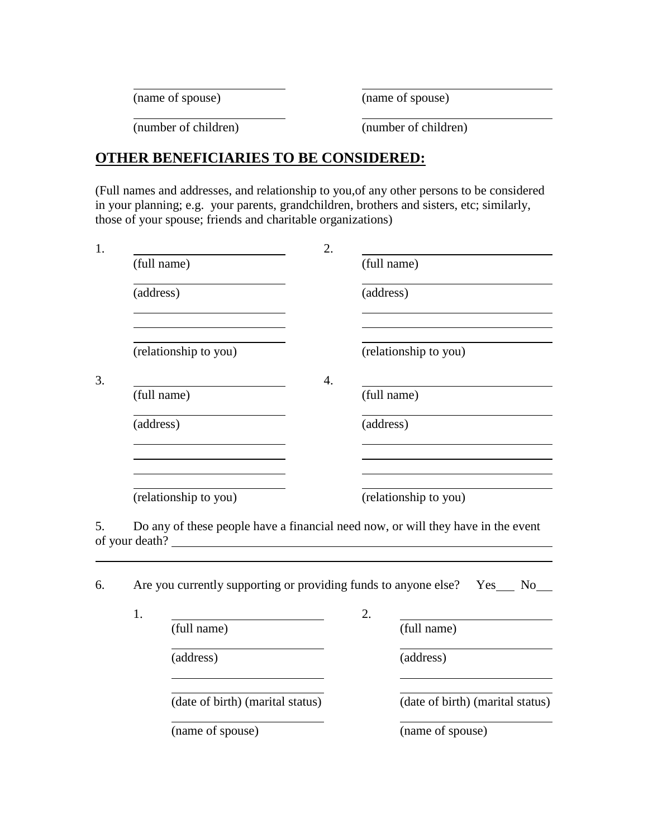(name of spouse) (name of spouse)

(number of children) (number of children)

### **OTHER BENEFICIARIES TO BE CONSIDERED:**

(Full names and addresses, and relationship to you,of any other persons to be considered in your planning; e.g. your parents, grandchildren, brothers and sisters, etc; similarly, those of your spouse; friends and charitable organizations)

| 1. |                       |                                                                                  | 2.               |                  |                                  |
|----|-----------------------|----------------------------------------------------------------------------------|------------------|------------------|----------------------------------|
|    |                       | (full name)                                                                      |                  |                  | (full name)                      |
|    | (address)             |                                                                                  |                  | (address)        |                                  |
|    |                       | (relationship to you)                                                            |                  |                  | (relationship to you)            |
| 3. |                       |                                                                                  | $\overline{4}$ . |                  |                                  |
|    |                       | (full name)                                                                      |                  |                  | (full name)                      |
|    | (address)             |                                                                                  |                  | (address)        |                                  |
|    |                       |                                                                                  |                  |                  |                                  |
|    | (relationship to you) |                                                                                  |                  |                  | (relationship to you)            |
| 5. |                       | Do any of these people have a financial need now, or will they have in the event |                  |                  |                                  |
|    |                       |                                                                                  |                  |                  |                                  |
| 6. |                       | Are you currently supporting or providing funds to anyone else? Yes_ No_         |                  |                  |                                  |
|    | 1.                    |                                                                                  |                  | $\overline{2}$ . |                                  |
|    |                       | (full name)                                                                      |                  |                  | (full name)                      |
|    |                       | (address)                                                                        |                  |                  | (address)                        |
|    |                       | (date of birth) (marital status)                                                 |                  |                  | (date of birth) (marital status) |
|    |                       |                                                                                  |                  |                  |                                  |

(name of spouse) (name of spouse)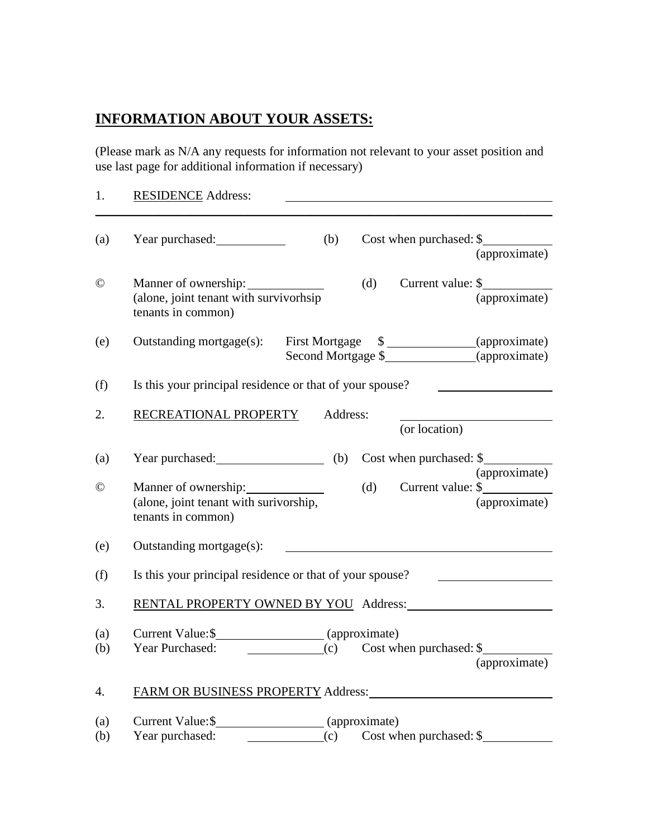## **INFORMATION ABOUT YOUR ASSETS:**

(Please mark as N/A any requests for information not relevant to your asset position and use last page for additional information if necessary)

| 1.               | <b>RESIDENCE Address:</b>                                                                                                                                                                                                                                                                                                                                                                                                                                             |  |  |
|------------------|-----------------------------------------------------------------------------------------------------------------------------------------------------------------------------------------------------------------------------------------------------------------------------------------------------------------------------------------------------------------------------------------------------------------------------------------------------------------------|--|--|
| (a)              | Cost when purchased: \$<br>Year purchased:<br>(b)<br>(approximate)                                                                                                                                                                                                                                                                                                                                                                                                    |  |  |
| $\odot$          | Current value: \$<br>Manner of ownership:<br>(d)<br>(alone, joint tenant with survivorhsip<br>(approximate)<br>tenants in common)                                                                                                                                                                                                                                                                                                                                     |  |  |
| (e)              | First Mortgage \$ _______________(approximate)<br>Outstanding mortgage(s):<br>Second Mortgage \$________________(approximate)                                                                                                                                                                                                                                                                                                                                         |  |  |
| (f)              | Is this your principal residence or that of your spouse?                                                                                                                                                                                                                                                                                                                                                                                                              |  |  |
| 2.               | RECREATIONAL PROPERTY<br>Address:<br>(or location)                                                                                                                                                                                                                                                                                                                                                                                                                    |  |  |
| (a)              | Year purchased: (b) Cost when purchased: \$                                                                                                                                                                                                                                                                                                                                                                                                                           |  |  |
| $\odot$          | (approximate)<br>(d) Current value: $\frac{1}{2}$<br>Manner of ownership:<br>(alone, joint tenant with surivorship,<br>(approximate)<br>tenants in common)                                                                                                                                                                                                                                                                                                            |  |  |
| (e)              | Outstanding mortgage(s):                                                                                                                                                                                                                                                                                                                                                                                                                                              |  |  |
| (f)              | Is this your principal residence or that of your spouse?                                                                                                                                                                                                                                                                                                                                                                                                              |  |  |
| 3.               | RENTAL PROPERTY OWNED BY YOU Address:                                                                                                                                                                                                                                                                                                                                                                                                                                 |  |  |
| (a)<br>(b)       | $\frac{1}{\sqrt{1-\frac{1}{\sqrt{1-\frac{1}{\sqrt{1-\frac{1}{\sqrt{1-\frac{1}{\sqrt{1-\frac{1}{\sqrt{1-\frac{1}{\sqrt{1-\frac{1}{\sqrt{1-\frac{1}{\sqrt{1-\frac{1}{\sqrt{1-\frac{1}{\sqrt{1-\frac{1}{\sqrt{1-\frac{1}{\sqrt{1-\frac{1}{\sqrt{1-\frac{1}{\sqrt{1-\frac{1}{\sqrt{1-\frac{1}{\sqrt{1-\frac{1}{\sqrt{1-\frac{1}{\sqrt{1-\frac{1}{\sqrt{1-\frac{1}{\sqrt{1-\frac{1}{\sqrt{1-\frac{1}{\sqrt{1-\frac{1}{\sqrt{1-\frac{1$<br>Year Purchased:<br>(approximate) |  |  |
| $\overline{4}$ . | FARM OR BUSINESS PROPERTY Address: North American Section 1997                                                                                                                                                                                                                                                                                                                                                                                                        |  |  |
| (a)<br>(b)       | Current Value: \$<br>(approximate)<br>(c) Cost when purchased: \$<br>Year purchased:<br><b>Contract Contract</b>                                                                                                                                                                                                                                                                                                                                                      |  |  |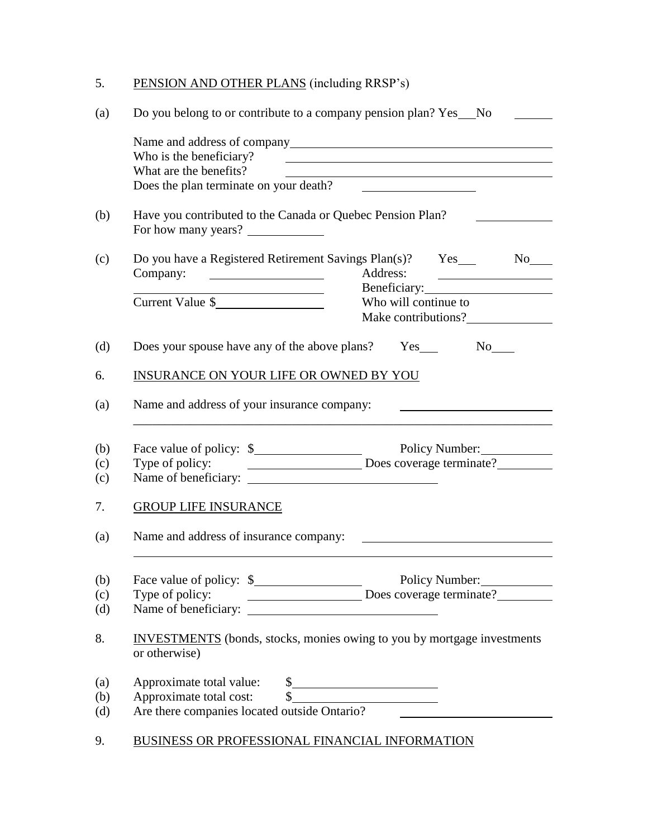## 5. PENSION AND OTHER PLANS (including RRSP's)

| Who is the beneficiary?<br>What are the benefits?<br><u> 1980 - Johann Barn, mars ann an t-Amhain Aonaich an t-Aonaich an t-Aonaich ann an t-Aonaich ann an t-Aonaich</u><br>Does the plan terminate on your death?<br>Have you contributed to the Canada or Quebec Pension Plan?<br>For how many years?<br>Do you have a Registered Retirement Savings Plan(s)? Yes_<br>No results<br>Address:<br>Company:<br>Beneficiary:<br><u> 1989 - Johann Barn, mars eta bainar eta baina eta baina eta baina eta baina eta baina eta baina eta baina e</u><br>Current Value \$<br>Who will continue to<br>Does your spouse have any of the above plans? Yes_<br>No No<br>INSURANCE ON YOUR LIFE OR OWNED BY YOU<br>Name and address of your insurance company:<br>Name of beneficiary:<br><b>GROUP LIFE INSURANCE</b><br>Name and address of insurance company:<br><b>INVESTMENTS</b> (bonds, stocks, monies owing to you by mortgage investments<br>or otherwise)<br>Approximate total value:<br>Approximate total value:<br>Approximate total cost:<br>Are there companies located outside Ontario? | Do you belong to or contribute to a company pension plan? Yes ___ No |  |  |
|-----------------------------------------------------------------------------------------------------------------------------------------------------------------------------------------------------------------------------------------------------------------------------------------------------------------------------------------------------------------------------------------------------------------------------------------------------------------------------------------------------------------------------------------------------------------------------------------------------------------------------------------------------------------------------------------------------------------------------------------------------------------------------------------------------------------------------------------------------------------------------------------------------------------------------------------------------------------------------------------------------------------------------------------------------------------------------------------------|----------------------------------------------------------------------|--|--|
|                                                                                                                                                                                                                                                                                                                                                                                                                                                                                                                                                                                                                                                                                                                                                                                                                                                                                                                                                                                                                                                                                               |                                                                      |  |  |
|                                                                                                                                                                                                                                                                                                                                                                                                                                                                                                                                                                                                                                                                                                                                                                                                                                                                                                                                                                                                                                                                                               |                                                                      |  |  |
|                                                                                                                                                                                                                                                                                                                                                                                                                                                                                                                                                                                                                                                                                                                                                                                                                                                                                                                                                                                                                                                                                               |                                                                      |  |  |
|                                                                                                                                                                                                                                                                                                                                                                                                                                                                                                                                                                                                                                                                                                                                                                                                                                                                                                                                                                                                                                                                                               |                                                                      |  |  |
|                                                                                                                                                                                                                                                                                                                                                                                                                                                                                                                                                                                                                                                                                                                                                                                                                                                                                                                                                                                                                                                                                               |                                                                      |  |  |
|                                                                                                                                                                                                                                                                                                                                                                                                                                                                                                                                                                                                                                                                                                                                                                                                                                                                                                                                                                                                                                                                                               |                                                                      |  |  |
|                                                                                                                                                                                                                                                                                                                                                                                                                                                                                                                                                                                                                                                                                                                                                                                                                                                                                                                                                                                                                                                                                               |                                                                      |  |  |
|                                                                                                                                                                                                                                                                                                                                                                                                                                                                                                                                                                                                                                                                                                                                                                                                                                                                                                                                                                                                                                                                                               |                                                                      |  |  |
|                                                                                                                                                                                                                                                                                                                                                                                                                                                                                                                                                                                                                                                                                                                                                                                                                                                                                                                                                                                                                                                                                               |                                                                      |  |  |
|                                                                                                                                                                                                                                                                                                                                                                                                                                                                                                                                                                                                                                                                                                                                                                                                                                                                                                                                                                                                                                                                                               |                                                                      |  |  |
|                                                                                                                                                                                                                                                                                                                                                                                                                                                                                                                                                                                                                                                                                                                                                                                                                                                                                                                                                                                                                                                                                               |                                                                      |  |  |
|                                                                                                                                                                                                                                                                                                                                                                                                                                                                                                                                                                                                                                                                                                                                                                                                                                                                                                                                                                                                                                                                                               |                                                                      |  |  |
|                                                                                                                                                                                                                                                                                                                                                                                                                                                                                                                                                                                                                                                                                                                                                                                                                                                                                                                                                                                                                                                                                               |                                                                      |  |  |
|                                                                                                                                                                                                                                                                                                                                                                                                                                                                                                                                                                                                                                                                                                                                                                                                                                                                                                                                                                                                                                                                                               |                                                                      |  |  |
|                                                                                                                                                                                                                                                                                                                                                                                                                                                                                                                                                                                                                                                                                                                                                                                                                                                                                                                                                                                                                                                                                               |                                                                      |  |  |
|                                                                                                                                                                                                                                                                                                                                                                                                                                                                                                                                                                                                                                                                                                                                                                                                                                                                                                                                                                                                                                                                                               |                                                                      |  |  |
|                                                                                                                                                                                                                                                                                                                                                                                                                                                                                                                                                                                                                                                                                                                                                                                                                                                                                                                                                                                                                                                                                               |                                                                      |  |  |
|                                                                                                                                                                                                                                                                                                                                                                                                                                                                                                                                                                                                                                                                                                                                                                                                                                                                                                                                                                                                                                                                                               |                                                                      |  |  |
|                                                                                                                                                                                                                                                                                                                                                                                                                                                                                                                                                                                                                                                                                                                                                                                                                                                                                                                                                                                                                                                                                               |                                                                      |  |  |
|                                                                                                                                                                                                                                                                                                                                                                                                                                                                                                                                                                                                                                                                                                                                                                                                                                                                                                                                                                                                                                                                                               |                                                                      |  |  |
|                                                                                                                                                                                                                                                                                                                                                                                                                                                                                                                                                                                                                                                                                                                                                                                                                                                                                                                                                                                                                                                                                               |                                                                      |  |  |
|                                                                                                                                                                                                                                                                                                                                                                                                                                                                                                                                                                                                                                                                                                                                                                                                                                                                                                                                                                                                                                                                                               |                                                                      |  |  |
|                                                                                                                                                                                                                                                                                                                                                                                                                                                                                                                                                                                                                                                                                                                                                                                                                                                                                                                                                                                                                                                                                               |                                                                      |  |  |
|                                                                                                                                                                                                                                                                                                                                                                                                                                                                                                                                                                                                                                                                                                                                                                                                                                                                                                                                                                                                                                                                                               |                                                                      |  |  |
|                                                                                                                                                                                                                                                                                                                                                                                                                                                                                                                                                                                                                                                                                                                                                                                                                                                                                                                                                                                                                                                                                               |                                                                      |  |  |
|                                                                                                                                                                                                                                                                                                                                                                                                                                                                                                                                                                                                                                                                                                                                                                                                                                                                                                                                                                                                                                                                                               |                                                                      |  |  |
|                                                                                                                                                                                                                                                                                                                                                                                                                                                                                                                                                                                                                                                                                                                                                                                                                                                                                                                                                                                                                                                                                               |                                                                      |  |  |
| BUSINESS OR PROFESSIONAL FINANCIAL INFORMATION                                                                                                                                                                                                                                                                                                                                                                                                                                                                                                                                                                                                                                                                                                                                                                                                                                                                                                                                                                                                                                                |                                                                      |  |  |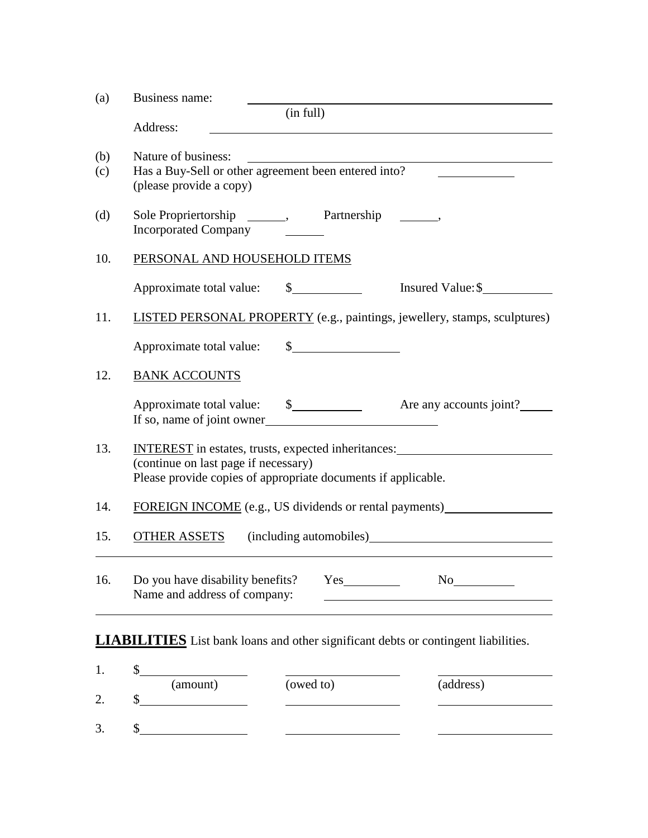| (a)        | Business name:                                                                                                                                                                             |           |                                                                                  |  |
|------------|--------------------------------------------------------------------------------------------------------------------------------------------------------------------------------------------|-----------|----------------------------------------------------------------------------------|--|
|            | Address:                                                                                                                                                                                   | (in full) |                                                                                  |  |
| (b)<br>(c) | Nature of business:<br>Has a Buy-Sell or other agreement been entered into?<br>(please provide a copy)                                                                                     |           |                                                                                  |  |
| (d)        | Sole Propriertorship ________, Partnership<br><b>Incorporated Company</b>                                                                                                                  |           |                                                                                  |  |
| 10.        | PERSONAL AND HOUSEHOLD ITEMS                                                                                                                                                               |           |                                                                                  |  |
|            |                                                                                                                                                                                            |           | Insured Value: \$                                                                |  |
| 11.        |                                                                                                                                                                                            |           | <b>LISTED PERSONAL PROPERTY</b> (e.g., paintings, jewellery, stamps, sculptures) |  |
|            | Approximate total value:                                                                                                                                                                   | $\int$    |                                                                                  |  |
| 12.        | <b>BANK ACCOUNTS</b>                                                                                                                                                                       |           |                                                                                  |  |
|            | If so, name of joint owner                                                                                                                                                                 |           |                                                                                  |  |
| 13.        | INTEREST in estates, trusts, expected inheritances: _____________________________<br>(continue on last page if necessary)<br>Please provide copies of appropriate documents if applicable. |           |                                                                                  |  |
| 14.        | FOREIGN INCOME (e.g., US dividends or rental payments)                                                                                                                                     |           |                                                                                  |  |
| 15.        | <b>OTHER ASSETS</b><br>(including automobiles) (including automobiles)                                                                                                                     |           |                                                                                  |  |
| 16.        | Do you have disability benefits?<br>Name and address of company:                                                                                                                           |           | No                                                                               |  |
|            |                                                                                                                                                                                            |           |                                                                                  |  |
|            | <b>LIABILITIES</b> List bank loans and other significant debts or contingent liabilities.                                                                                                  |           |                                                                                  |  |
| 1.         | \$<br>(amount)                                                                                                                                                                             | (owed to) | (address)                                                                        |  |
| 2.         | \$<br><u> 1999 - Jan Barbara III, martx</u>                                                                                                                                                |           |                                                                                  |  |

3. \$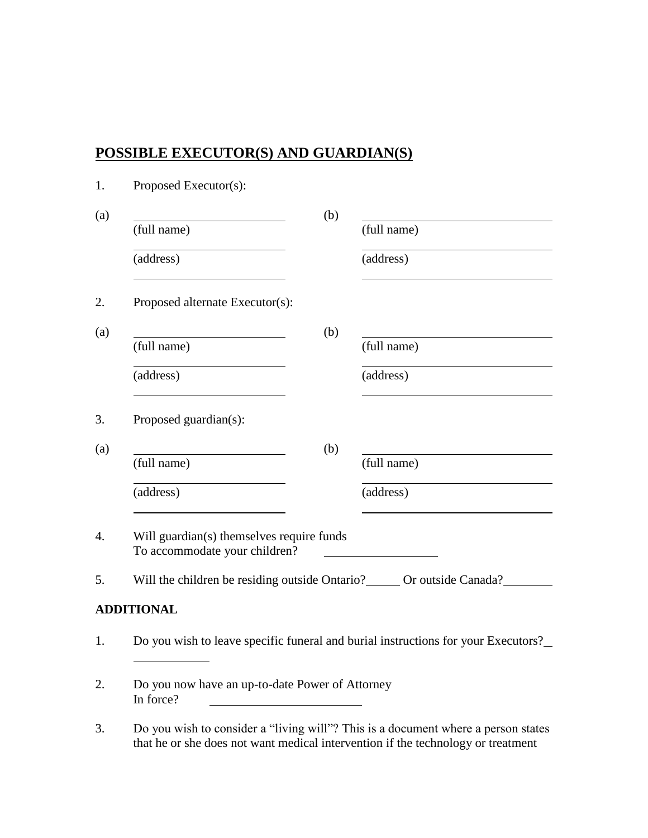### **POSSIBLE EXECUTOR(S) AND GUARDIAN(S)**

| 1.               | Proposed Executor(s):                                                                                                                                                                                                           |     |                                                                                   |
|------------------|---------------------------------------------------------------------------------------------------------------------------------------------------------------------------------------------------------------------------------|-----|-----------------------------------------------------------------------------------|
| (a)              |                                                                                                                                                                                                                                 | (b) |                                                                                   |
|                  | (full name)                                                                                                                                                                                                                     |     | (full name)                                                                       |
|                  | (address)                                                                                                                                                                                                                       |     | (address)                                                                         |
| 2.               | Proposed alternate Executor(s):                                                                                                                                                                                                 |     |                                                                                   |
| (a)              |                                                                                                                                                                                                                                 | (b) |                                                                                   |
|                  | (full name)                                                                                                                                                                                                                     |     | (full name)                                                                       |
|                  | (address)                                                                                                                                                                                                                       |     | (address)                                                                         |
| 3.               | Proposed guardian(s):                                                                                                                                                                                                           |     |                                                                                   |
| (a)              |                                                                                                                                                                                                                                 | (b) |                                                                                   |
|                  | (full name)                                                                                                                                                                                                                     |     | (full name)                                                                       |
|                  | (address)                                                                                                                                                                                                                       |     | (address)                                                                         |
| $\overline{4}$ . | Will guardian(s) themselves require funds<br>To accommodate your children?                                                                                                                                                      |     |                                                                                   |
| 5.               | Will the children be residing outside Ontario? ______ Or outside Canada?                                                                                                                                                        |     |                                                                                   |
|                  | <b>ADDITIONAL</b>                                                                                                                                                                                                               |     |                                                                                   |
| 1.               |                                                                                                                                                                                                                                 |     | Do you wish to leave specific funeral and burial instructions for your Executors? |
| 2.               | Do you now have an up-to-date Power of Attorney<br>In force?                                                                                                                                                                    |     |                                                                                   |
|                  | $\mathbf{D}_{\mathcal{I}}$ and solution to the constitution of $\mathcal{I}(\mathcal{I}_{\mathcal{I}})$ and $\mathcal{I}(\mathcal{I}_{\mathcal{I}})$ and $\mathcal{I}_{\mathcal{I}}$ are the set of $\mathcal{I}_{\mathcal{I}}$ |     |                                                                                   |

3. Do you wish to consider a "living will"? This is a document where a person states that he or she does not want medical intervention if the technology or treatment